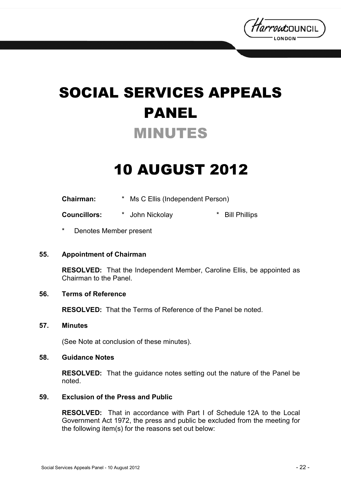

# SOCIAL SERVICES APPEALS PANEL MINUTES

## 10 AUGUST 2012

| Chairman: |  | * Ms C Ellis (Independent Person) |
|-----------|--|-----------------------------------|
|-----------|--|-----------------------------------|

**Councillors:** \* John Nickolay \* Bill Phillips

Denotes Member present

#### **55. Appointment of Chairman**

**RESOLVED:** That the Independent Member, Caroline Ellis, be appointed as Chairman to the Panel.

### **56. Terms of Reference**

**RESOLVED:** That the Terms of Reference of the Panel be noted.

#### **57. Minutes**

(See Note at conclusion of these minutes).

#### **58. Guidance Notes**

**RESOLVED:** That the guidance notes setting out the nature of the Panel be noted.

#### **59. Exclusion of the Press and Public**

**RESOLVED:** That in accordance with Part I of Schedule 12A to the Local Government Act 1972, the press and public be excluded from the meeting for the following item(s) for the reasons set out below: